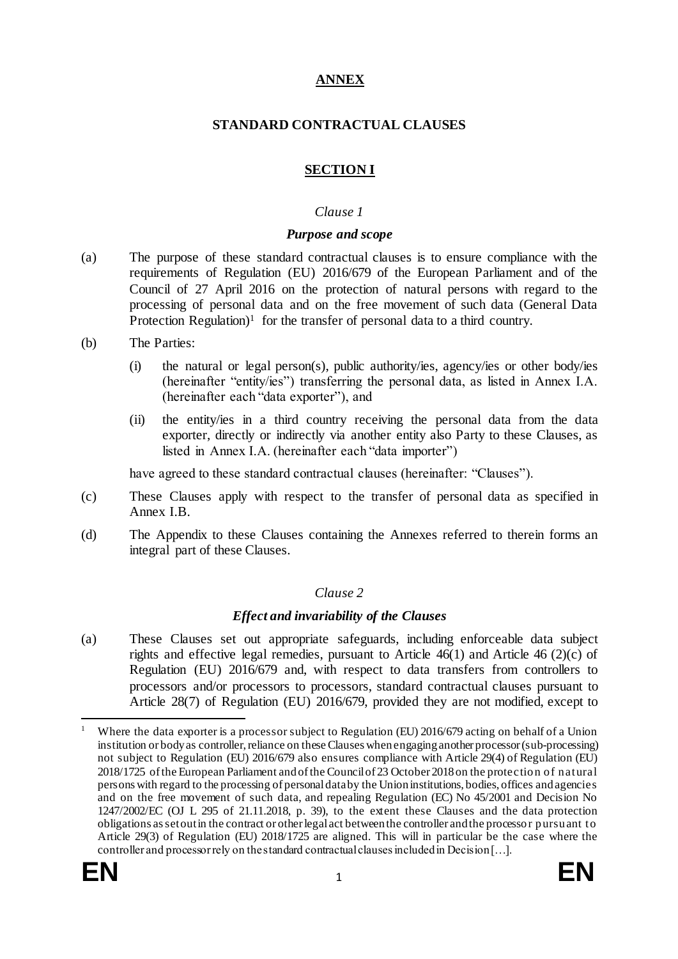### **ANNEX**

### **STANDARD CONTRACTUAL CLAUSES**

# **SECTION I**

### *Clause 1*

#### *Purpose and scope*

- (a) The purpose of these standard contractual clauses is to ensure compliance with the requirements of Regulation (EU) 2016/679 of the European Parliament and of the Council of 27 April 2016 on the protection of natural persons with regard to the processing of personal data and on the free movement of such data (General Data Protection Regulation)<sup>1</sup> for the transfer of personal data to a third country.
- (b) The Parties:
	- (i) the natural or legal person(s), public authority/ies, agency/ies or other body/ies (hereinafter "entity/ies") transferring the personal data, as listed in Annex I.A. (hereinafter each "data exporter"), and
	- (ii) the entity/ies in a third country receiving the personal data from the data exporter, directly or indirectly via another entity also Party to these Clauses, as listed in Annex I.A. (hereinafter each "data importer")

have agreed to these standard contractual clauses (hereinafter: "Clauses").

- (c) These Clauses apply with respect to the transfer of personal data as specified in Annex I.B.
- (d) The Appendix to these Clauses containing the Annexes referred to therein forms an integral part of these Clauses.

# *Clause 2*

### *Effect and invariability of the Clauses*

(a) These Clauses set out appropriate safeguards, including enforceable data subject rights and effective legal remedies, pursuant to Article 46(1) and Article 46 (2)(c) of Regulation (EU) 2016/679 and, with respect to data transfers from controllers to processors and/or processors to processors, standard contractual clauses pursuant to Article 28(7) of Regulation (EU) 2016/679, provided they are not modified, except to

<sup>1</sup> <sup>1</sup> Where the data exporter is a processor subject to Regulation (EU) 2016/679 acting on behalf of a Union institution or body as controller, reliance on these Clauses when engaging another processor (sub-processing) not subject to Regulation (EU) 2016/679 also ensures compliance with Article 29(4) of Regulation (EU) 2018/1725 of the European Parliament and of the Council of 23 October 2018 on the protection of natural persons with regard to the processing of personal data by the Union institutions, bodies, offices and agencies and on the free movement of such data, and repealing Regulation (EC) No 45/2001 and Decision No 1247/2002/EC (OJ L 295 of 21.11.2018, p. 39), to the extent these Clauses and the data protection obligations as set out in the contract or other legal act between the controller and the processor pursuant to Article 29(3) of Regulation (EU) 2018/1725 are aligned. This will in particular be the case where the controller and processor rely on the standard contractual clauses included in Decision […].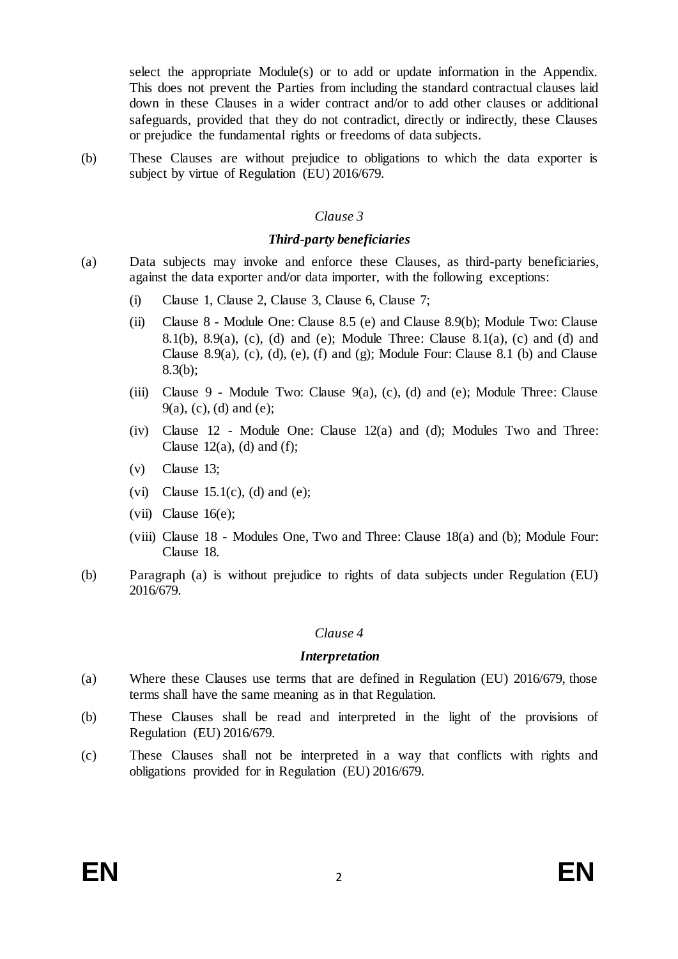select the appropriate Module(s) or to add or update information in the Appendix. This does not prevent the Parties from including the standard contractual clauses laid down in these Clauses in a wider contract and/or to add other clauses or additional safeguards, provided that they do not contradict, directly or indirectly, these Clauses or prejudice the fundamental rights or freedoms of data subjects.

(b) These Clauses are without prejudice to obligations to which the data exporter is subject by virtue of Regulation (EU) 2016/679.

#### *Clause 3*

#### *Third-party beneficiaries*

- (a) Data subjects may invoke and enforce these Clauses, as third-party beneficiaries, against the data exporter and/or data importer, with the following exceptions:
	- (i) Clause 1, Clause 2, Clause 3, Clause 6, Clause 7;
	- (ii) Clause 8 Module One: Clause 8.5 (e) and Clause 8.9(b); Module Two: Clause 8.1(b), 8.9(a), (c), (d) and (e); Module Three: Clause 8.1(a), (c) and (d) and Clause 8.9(a), (c), (d), (e), (f) and (g); Module Four: Clause 8.1 (b) and Clause 8.3(b);
	- (iii) Clause 9 Module Two: Clause  $9(a)$ , (c), (d) and (e); Module Three: Clause  $9(a)$ , (c), (d) and (e);
	- (iv) Clause 12 Module One: Clause 12(a) and (d); Modules Two and Three: Clause  $12(a)$ , (d) and (f);
	- (v) Clause 13;
	- (vi) Clause 15.1(c), (d) and (e);
	- (vii) Clause  $16(e)$ ;
	- (viii) Clause 18 Modules One, Two and Three: Clause 18(a) and (b); Module Four: Clause 18.
- (b) Paragraph (a) is without prejudice to rights of data subjects under Regulation (EU) 2016/679.

#### *Clause 4*

#### *Interpretation*

- (a) Where these Clauses use terms that are defined in Regulation (EU) 2016/679, those terms shall have the same meaning as in that Regulation.
- (b) These Clauses shall be read and interpreted in the light of the provisions of Regulation (EU) 2016/679.
- (c) These Clauses shall not be interpreted in a way that conflicts with rights and obligations provided for in Regulation (EU) 2016/679.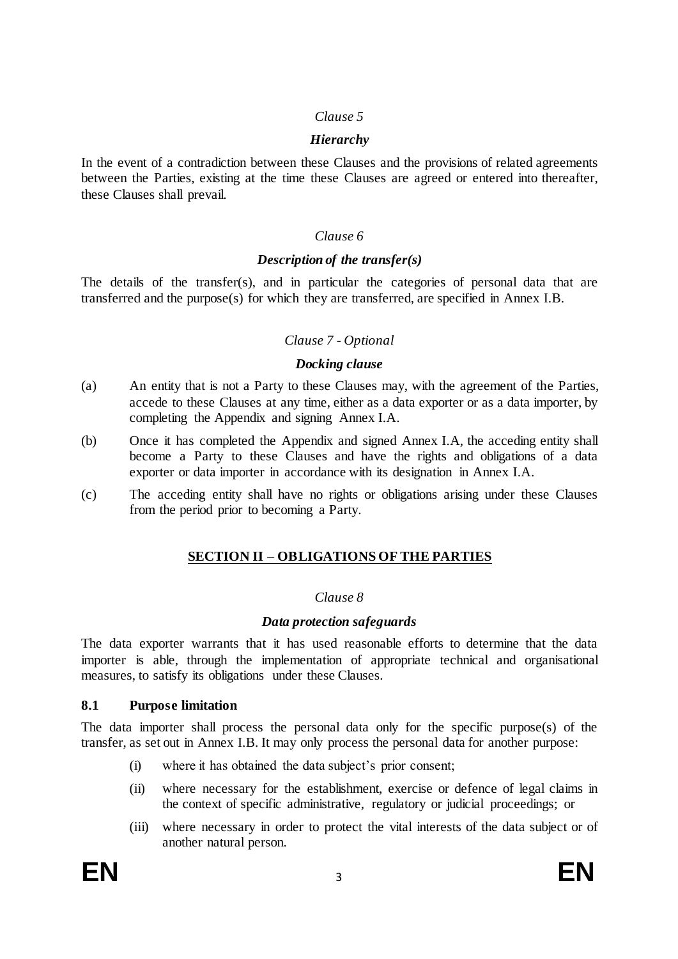#### *Clause 5*

#### *Hierarchy*

In the event of a contradiction between these Clauses and the provisions of related agreements between the Parties, existing at the time these Clauses are agreed or entered into thereafter, these Clauses shall prevail.

#### *Clause 6*

#### *Description of the transfer(s)*

The details of the transfer(s), and in particular the categories of personal data that are transferred and the purpose(s) for which they are transferred, are specified in Annex I.B.

#### *Clause 7 - Optional*

#### *Docking clause*

- (a) An entity that is not a Party to these Clauses may, with the agreement of the Parties, accede to these Clauses at any time, either as a data exporter or as a data importer, by completing the Appendix and signing Annex I.A.
- (b) Once it has completed the Appendix and signed Annex I.A, the acceding entity shall become a Party to these Clauses and have the rights and obligations of a data exporter or data importer in accordance with its designation in Annex I.A.
- (c) The acceding entity shall have no rights or obligations arising under these Clauses from the period prior to becoming a Party.

### **SECTION II – OBLIGATIONS OF THE PARTIES**

#### *Clause 8*

#### *Data protection safeguards*

The data exporter warrants that it has used reasonable efforts to determine that the data importer is able, through the implementation of appropriate technical and organisational measures, to satisfy its obligations under these Clauses.

#### **8.1 Purpose limitation**

The data importer shall process the personal data only for the specific purpose(s) of the transfer, as set out in Annex I.B. It may only process the personal data for another purpose:

- (i) where it has obtained the data subject's prior consent;
- (ii) where necessary for the establishment, exercise or defence of legal claims in the context of specific administrative, regulatory or judicial proceedings; or
- (iii) where necessary in order to protect the vital interests of the data subject or of another natural person.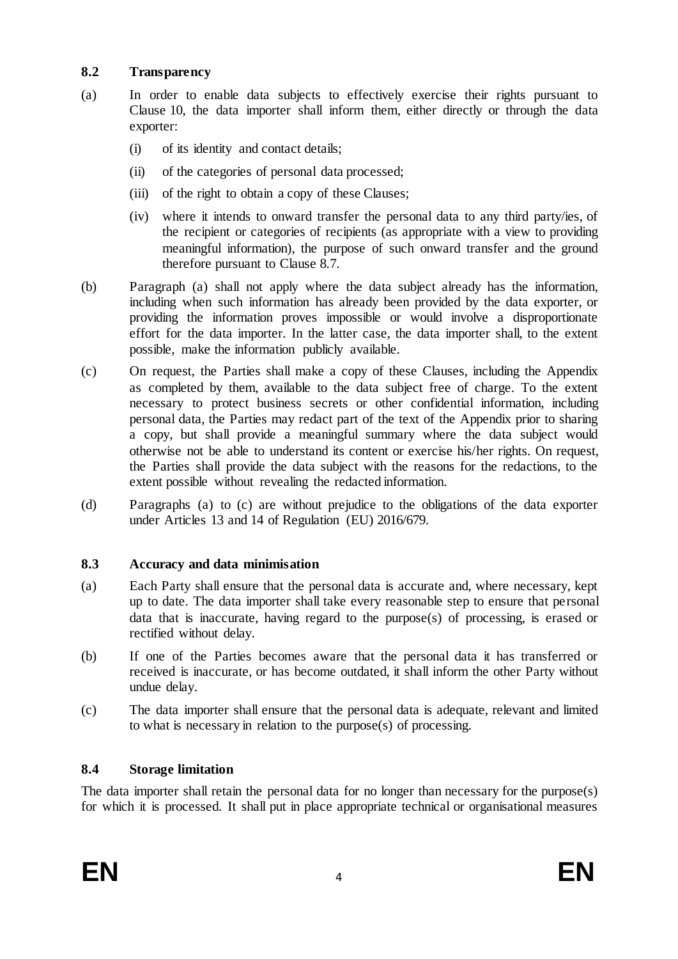### **8.2 Transparency**

- (a) In order to enable data subjects to effectively exercise their rights pursuant to Clause 10, the data importer shall inform them, either directly or through the data exporter:
	- (i) of its identity and contact details;
	- (ii) of the categories of personal data processed;
	- (iii) of the right to obtain a copy of these Clauses;
	- (iv) where it intends to onward transfer the personal data to any third party/ies, of the recipient or categories of recipients (as appropriate with a view to providing meaningful information), the purpose of such onward transfer and the ground therefore pursuant to Clause 8.7.
- (b) Paragraph (a) shall not apply where the data subject already has the information, including when such information has already been provided by the data exporter, or providing the information proves impossible or would involve a disproportionate effort for the data importer. In the latter case, the data importer shall, to the extent possible, make the information publicly available.
- (c) On request, the Parties shall make a copy of these Clauses, including the Appendix as completed by them, available to the data subject free of charge. To the extent necessary to protect business secrets or other confidential information, including personal data, the Parties may redact part of the text of the Appendix prior to sharing a copy, but shall provide a meaningful summary where the data subject would otherwise not be able to understand its content or exercise his/her rights. On request, the Parties shall provide the data subject with the reasons for the redactions, to the extent possible without revealing the redacted information.
- (d) Paragraphs (a) to (c) are without prejudice to the obligations of the data exporter under Articles 13 and 14 of Regulation (EU) 2016/679.

# **8.3 Accuracy and data minimisation**

- (a) Each Party shall ensure that the personal data is accurate and, where necessary, kept up to date. The data importer shall take every reasonable step to ensure that personal data that is inaccurate, having regard to the purpose(s) of processing, is erased or rectified without delay.
- (b) If one of the Parties becomes aware that the personal data it has transferred or received is inaccurate, or has become outdated, it shall inform the other Party without undue delay.
- (c) The data importer shall ensure that the personal data is adequate, relevant and limited to what is necessary in relation to the purpose(s) of processing.

# **8.4 Storage limitation**

The data importer shall retain the personal data for no longer than necessary for the purpose(s) for which it is processed. It shall put in place appropriate technical or organisational measures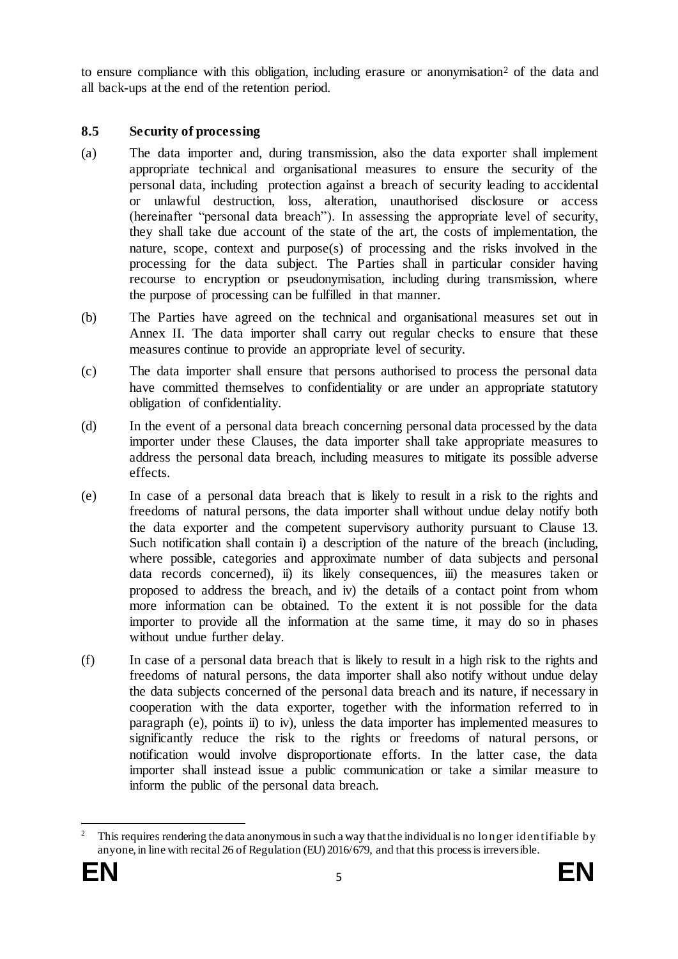to ensure compliance with this obligation, including erasure or anonymisation<sup>2</sup> of the data and all back-ups at the end of the retention period.

# **8.5 Security of processing**

- (a) The data importer and, during transmission, also the data exporter shall implement appropriate technical and organisational measures to ensure the security of the personal data, including protection against a breach of security leading to accidental or unlawful destruction, loss, alteration, unauthorised disclosure or access (hereinafter "personal data breach"). In assessing the appropriate level of security, they shall take due account of the state of the art, the costs of implementation, the nature, scope, context and purpose(s) of processing and the risks involved in the processing for the data subject. The Parties shall in particular consider having recourse to encryption or pseudonymisation, including during transmission, where the purpose of processing can be fulfilled in that manner.
- (b) The Parties have agreed on the technical and organisational measures set out in Annex II. The data importer shall carry out regular checks to ensure that these measures continue to provide an appropriate level of security.
- (c) The data importer shall ensure that persons authorised to process the personal data have committed themselves to confidentiality or are under an appropriate statutory obligation of confidentiality.
- (d) In the event of a personal data breach concerning personal data processed by the data importer under these Clauses, the data importer shall take appropriate measures to address the personal data breach, including measures to mitigate its possible adverse effects.
- (e) In case of a personal data breach that is likely to result in a risk to the rights and freedoms of natural persons, the data importer shall without undue delay notify both the data exporter and the competent supervisory authority pursuant to Clause 13. Such notification shall contain i) a description of the nature of the breach (including, where possible, categories and approximate number of data subjects and personal data records concerned), ii) its likely consequences, iii) the measures taken or proposed to address the breach, and iv) the details of a contact point from whom more information can be obtained. To the extent it is not possible for the data importer to provide all the information at the same time, it may do so in phases without undue further delay.
- (f) In case of a personal data breach that is likely to result in a high risk to the rights and freedoms of natural persons, the data importer shall also notify without undue delay the data subjects concerned of the personal data breach and its nature, if necessary in cooperation with the data exporter, together with the information referred to in paragraph (e), points ii) to iv), unless the data importer has implemented measures to significantly reduce the risk to the rights or freedoms of natural persons, or notification would involve disproportionate efforts. In the latter case, the data importer shall instead issue a public communication or take a similar measure to inform the public of the personal data breach.

 $\overline{2}$ <sup>2</sup> This requires rendering the data anonymous in such a way that the individual is no longer identifiable by anyone, in line with recital 26 of Regulation (EU) 2016/679, and that this process is irreversible.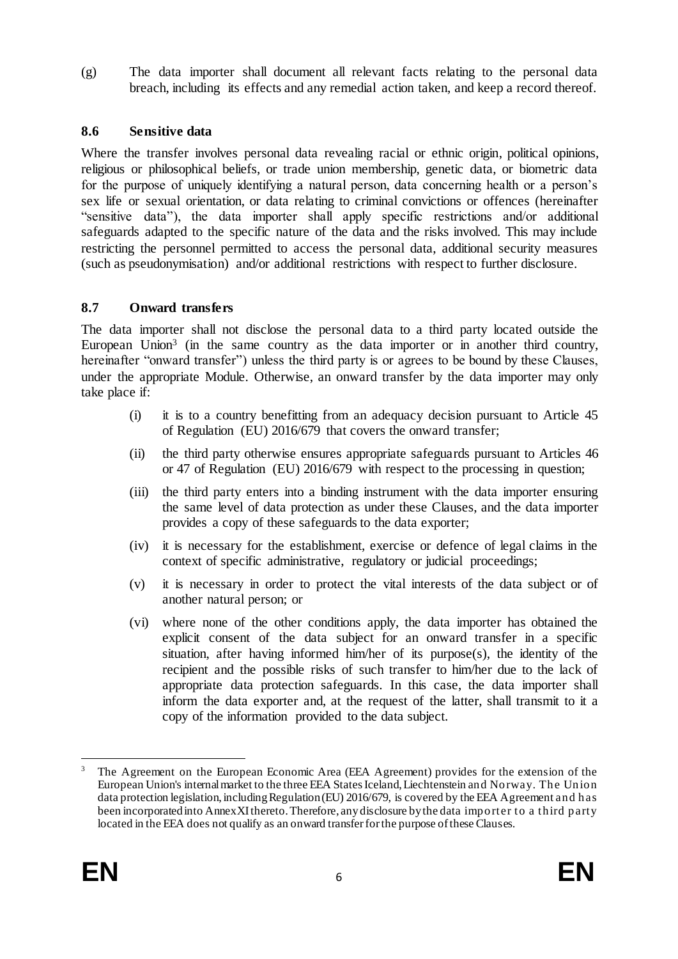(g) The data importer shall document all relevant facts relating to the personal data breach, including its effects and any remedial action taken, and keep a record thereof.

# **8.6 Sensitive data**

Where the transfer involves personal data revealing racial or ethnic origin, political opinions, religious or philosophical beliefs, or trade union membership, genetic data, or biometric data for the purpose of uniquely identifying a natural person, data concerning health or a person's sex life or sexual orientation, or data relating to criminal convictions or offences (hereinafter "sensitive data"), the data importer shall apply specific restrictions and/or additional safeguards adapted to the specific nature of the data and the risks involved. This may include restricting the personnel permitted to access the personal data, additional security measures (such as pseudonymisation) and/or additional restrictions with respect to further disclosure.

# **8.7 Onward transfers**

The data importer shall not disclose the personal data to a third party located outside the European Union<sup>3</sup> (in the same country as the data importer or in another third country, hereinafter "onward transfer") unless the third party is or agrees to be bound by these Clauses, under the appropriate Module. Otherwise, an onward transfer by the data importer may only take place if:

- (i) it is to a country benefitting from an adequacy decision pursuant to Article 45 of Regulation (EU) 2016/679 that covers the onward transfer;
- (ii) the third party otherwise ensures appropriate safeguards pursuant to Articles 46 or 47 of Regulation (EU) 2016/679 with respect to the processing in question;
- (iii) the third party enters into a binding instrument with the data importer ensuring the same level of data protection as under these Clauses, and the data importer provides a copy of these safeguards to the data exporter;
- (iv) it is necessary for the establishment, exercise or defence of legal claims in the context of specific administrative, regulatory or judicial proceedings;
- (v) it is necessary in order to protect the vital interests of the data subject or of another natural person; or
- (vi) where none of the other conditions apply, the data importer has obtained the explicit consent of the data subject for an onward transfer in a specific situation, after having informed him/her of its purpose(s), the identity of the recipient and the possible risks of such transfer to him/her due to the lack of appropriate data protection safeguards. In this case, the data importer shall inform the data exporter and, at the request of the latter, shall transmit to it a copy of the information provided to the data subject.

<sup>1</sup> <sup>3</sup> The Agreement on the European Economic Area (EEA Agreement) provides for the extension of the European Union's internal market to the three EEA States Iceland, Liechtenstein and Norway. The Union data protection legislation, including Regulation (EU) 2016/679, is covered by the EEA Agreement and has been incorporated into Annex XI thereto. Therefore, any disclosure by the data importer to a third party located in the EEA does not qualify as an onward transfer for the purpose of these Clauses.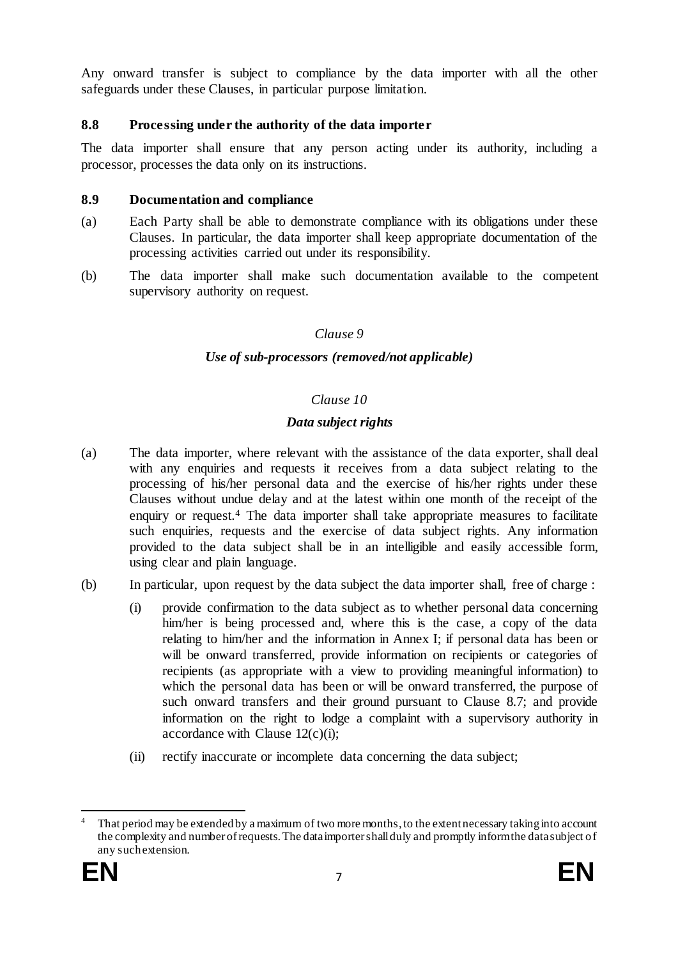Any onward transfer is subject to compliance by the data importer with all the other safeguards under these Clauses, in particular purpose limitation.

# **8.8 Processing under the authority of the data importer**

The data importer shall ensure that any person acting under its authority, including a processor, processes the data only on its instructions.

# **8.9 Documentation and compliance**

- (a) Each Party shall be able to demonstrate compliance with its obligations under these Clauses. In particular, the data importer shall keep appropriate documentation of the processing activities carried out under its responsibility.
- (b) The data importer shall make such documentation available to the competent supervisory authority on request.

# *Clause 9*

# *Use of sub-processors (removed/not applicable)*

# *Clause 10*

# *Data subject rights*

- (a) The data importer, where relevant with the assistance of the data exporter, shall deal with any enquiries and requests it receives from a data subject relating to the processing of his/her personal data and the exercise of his/her rights under these Clauses without undue delay and at the latest within one month of the receipt of the enquiry or request.<sup>4</sup> The data importer shall take appropriate measures to facilitate such enquiries, requests and the exercise of data subject rights. Any information provided to the data subject shall be in an intelligible and easily accessible form, using clear and plain language.
- (b) In particular, upon request by the data subject the data importer shall, free of charge :
	- (i) provide confirmation to the data subject as to whether personal data concerning him/her is being processed and, where this is the case, a copy of the data relating to him/her and the information in Annex I; if personal data has been or will be onward transferred, provide information on recipients or categories of recipients (as appropriate with a view to providing meaningful information) to which the personal data has been or will be onward transferred, the purpose of such onward transfers and their ground pursuant to Clause 8.7; and provide information on the right to lodge a complaint with a supervisory authority in accordance with Clause  $12(c)(i)$ ;
	- (ii) rectify inaccurate or incomplete data concerning the data subject;

<sup>-</sup>That period may be extended by a maximum of two more months, to the extent necessary taking into account the complexity and number of requests. The data importer shall duly and promptly inform the data subject of any such extension.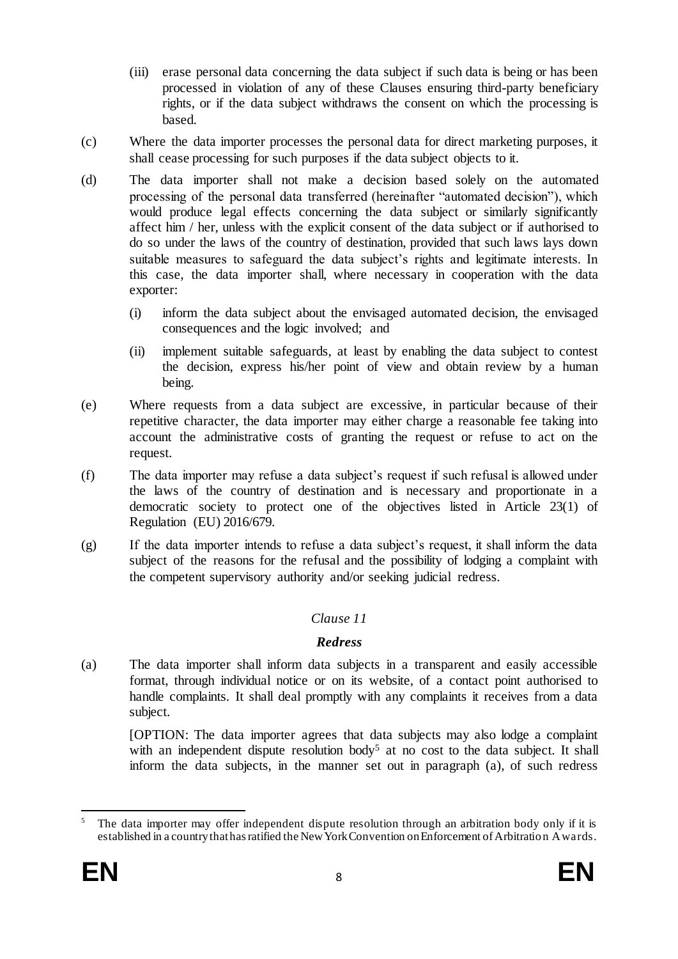- (iii) erase personal data concerning the data subject if such data is being or has been processed in violation of any of these Clauses ensuring third-party beneficiary rights, or if the data subject withdraws the consent on which the processing is based.
- (c) Where the data importer processes the personal data for direct marketing purposes, it shall cease processing for such purposes if the data subject objects to it.
- (d) The data importer shall not make a decision based solely on the automated processing of the personal data transferred (hereinafter "automated decision"), which would produce legal effects concerning the data subject or similarly significantly affect him / her, unless with the explicit consent of the data subject or if authorised to do so under the laws of the country of destination, provided that such laws lays down suitable measures to safeguard the data subject's rights and legitimate interests. In this case, the data importer shall, where necessary in cooperation with the data exporter:
	- (i) inform the data subject about the envisaged automated decision, the envisaged consequences and the logic involved; and
	- (ii) implement suitable safeguards, at least by enabling the data subject to contest the decision, express his/her point of view and obtain review by a human being.
- (e) Where requests from a data subject are excessive, in particular because of their repetitive character, the data importer may either charge a reasonable fee taking into account the administrative costs of granting the request or refuse to act on the request.
- (f) The data importer may refuse a data subject's request if such refusal is allowed under the laws of the country of destination and is necessary and proportionate in a democratic society to protect one of the objectives listed in Article 23(1) of Regulation (EU) 2016/679.
- (g) If the data importer intends to refuse a data subject's request, it shall inform the data subject of the reasons for the refusal and the possibility of lodging a complaint with the competent supervisory authority and/or seeking judicial redress.

# *Clause 11*

# *Redress*

(a) The data importer shall inform data subjects in a transparent and easily accessible format, through individual notice or on its website, of a contact point authorised to handle complaints. It shall deal promptly with any complaints it receives from a data subject.

[OPTION: The data importer agrees that data subjects may also lodge a complaint with an independent dispute resolution body<sup>5</sup> at no cost to the data subject. It shall inform the data subjects, in the manner set out in paragraph (a), of such redress

<sup>5</sup> The data importer may offer independent dispute resolution through an arbitration body only if it is established in a country that has ratified the New York Convention on Enforcement of Arbitration Awards.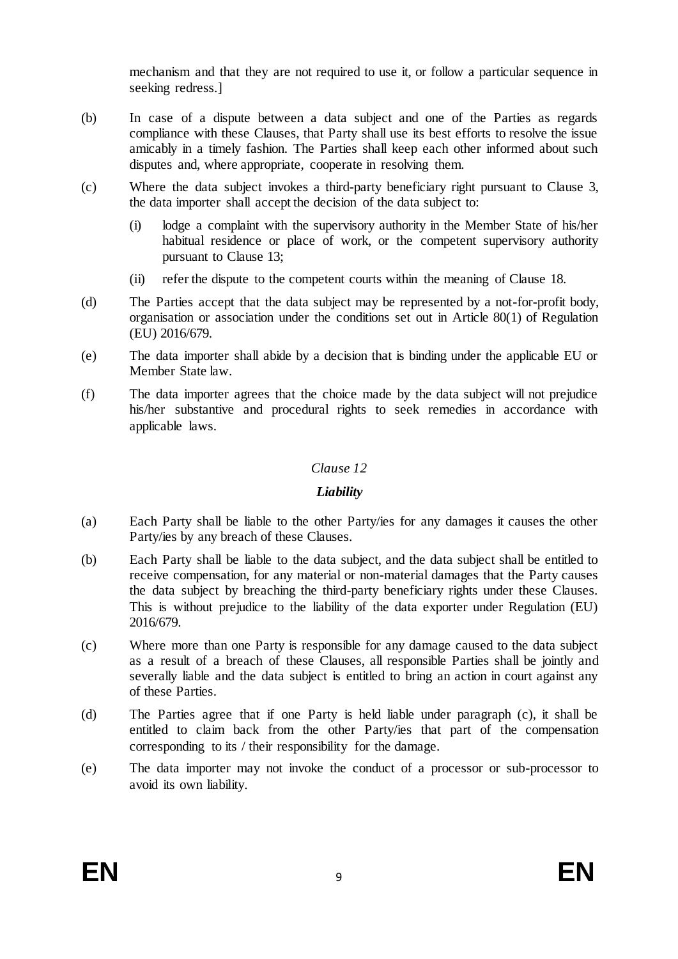mechanism and that they are not required to use it, or follow a particular sequence in seeking redress.]

- (b) In case of a dispute between a data subject and one of the Parties as regards compliance with these Clauses, that Party shall use its best efforts to resolve the issue amicably in a timely fashion. The Parties shall keep each other informed about such disputes and, where appropriate, cooperate in resolving them.
- (c) Where the data subject invokes a third-party beneficiary right pursuant to Clause 3, the data importer shall accept the decision of the data subject to:
	- (i) lodge a complaint with the supervisory authority in the Member State of his/her habitual residence or place of work, or the competent supervisory authority pursuant to Clause 13;
	- (ii) refer the dispute to the competent courts within the meaning of Clause 18.
- (d) The Parties accept that the data subject may be represented by a not-for-profit body, organisation or association under the conditions set out in Article 80(1) of Regulation (EU) 2016/679.
- (e) The data importer shall abide by a decision that is binding under the applicable EU or Member State law.
- (f) The data importer agrees that the choice made by the data subject will not prejudice his/her substantive and procedural rights to seek remedies in accordance with applicable laws.

### *Clause 12*

### *Liability*

- (a) Each Party shall be liable to the other Party/ies for any damages it causes the other Party/ies by any breach of these Clauses.
- (b) Each Party shall be liable to the data subject, and the data subject shall be entitled to receive compensation, for any material or non-material damages that the Party causes the data subject by breaching the third-party beneficiary rights under these Clauses. This is without prejudice to the liability of the data exporter under Regulation (EU) 2016/679.
- (c) Where more than one Party is responsible for any damage caused to the data subject as a result of a breach of these Clauses, all responsible Parties shall be jointly and severally liable and the data subject is entitled to bring an action in court against any of these Parties.
- (d) The Parties agree that if one Party is held liable under paragraph (c), it shall be entitled to claim back from the other Party/ies that part of the compensation corresponding to its / their responsibility for the damage.
- (e) The data importer may not invoke the conduct of a processor or sub-processor to avoid its own liability.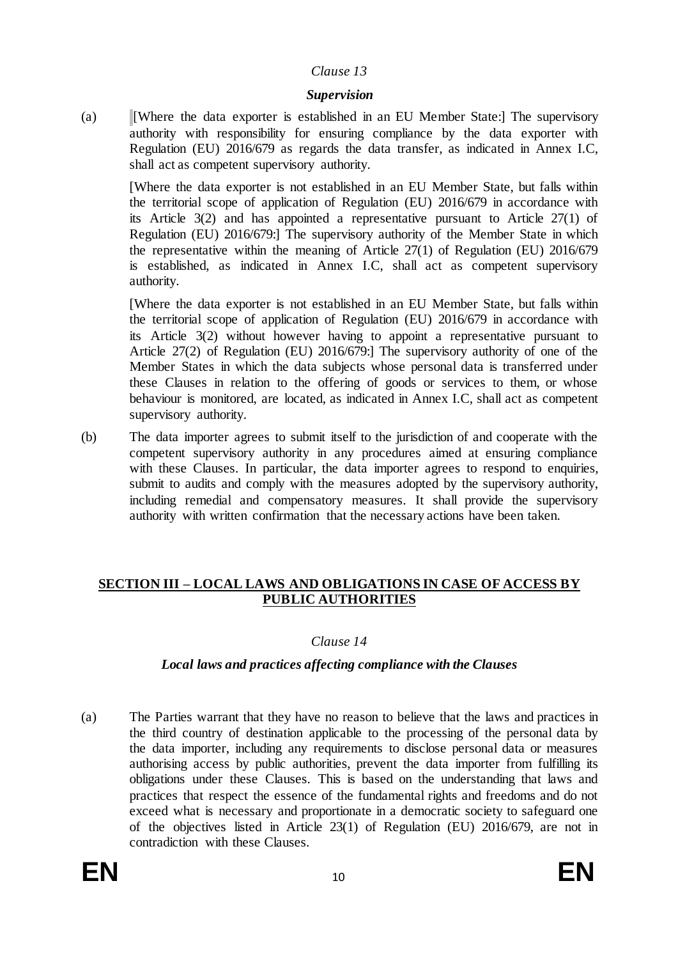#### *Clause 13*

#### *Supervision*

(a) [Where the data exporter is established in an EU Member State:] The supervisory authority with responsibility for ensuring compliance by the data exporter with Regulation (EU) 2016/679 as regards the data transfer, as indicated in Annex I.C, shall act as competent supervisory authority.

[Where the data exporter is not established in an EU Member State, but falls within the territorial scope of application of Regulation (EU) 2016/679 in accordance with its Article  $3(2)$  and has appointed a representative pursuant to Article  $27(1)$  of Regulation (EU) 2016/679:] The supervisory authority of the Member State in which the representative within the meaning of Article 27(1) of Regulation (EU) 2016/679 is established, as indicated in Annex I.C, shall act as competent supervisory authority.

[Where the data exporter is not established in an EU Member State, but falls within the territorial scope of application of Regulation (EU) 2016/679 in accordance with its Article 3(2) without however having to appoint a representative pursuant to Article 27(2) of Regulation (EU) 2016/679:] The supervisory authority of one of the Member States in which the data subjects whose personal data is transferred under these Clauses in relation to the offering of goods or services to them, or whose behaviour is monitored, are located, as indicated in Annex I.C, shall act as competent supervisory authority.

(b) The data importer agrees to submit itself to the jurisdiction of and cooperate with the competent supervisory authority in any procedures aimed at ensuring compliance with these Clauses. In particular, the data importer agrees to respond to enquiries, submit to audits and comply with the measures adopted by the supervisory authority, including remedial and compensatory measures. It shall provide the supervisory authority with written confirmation that the necessary actions have been taken.

#### **SECTION III – LOCAL LAWS AND OBLIGATIONS IN CASE OF ACCESS BY PUBLIC AUTHORITIES**

#### *Clause 14*

#### *Local laws and practices affecting compliance with the Clauses*

(a) The Parties warrant that they have no reason to believe that the laws and practices in the third country of destination applicable to the processing of the personal data by the data importer, including any requirements to disclose personal data or measures authorising access by public authorities, prevent the data importer from fulfilling its obligations under these Clauses. This is based on the understanding that laws and practices that respect the essence of the fundamental rights and freedoms and do not exceed what is necessary and proportionate in a democratic society to safeguard one of the objectives listed in Article 23(1) of Regulation (EU) 2016/679, are not in contradiction with these Clauses.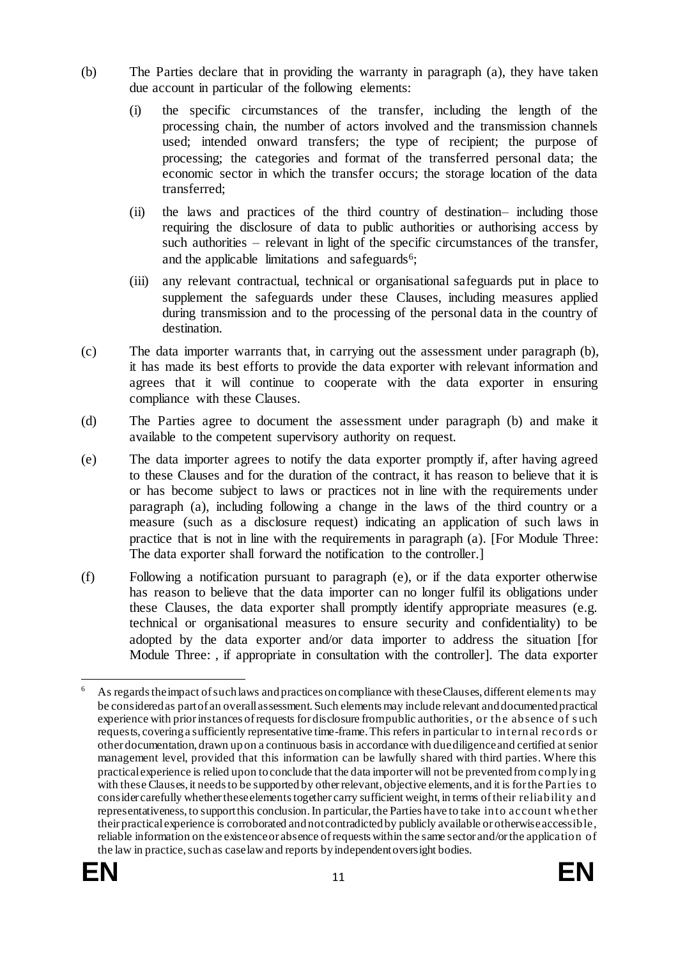- (b) The Parties declare that in providing the warranty in paragraph (a), they have taken due account in particular of the following elements:
	- (i) the specific circumstances of the transfer, including the length of the processing chain, the number of actors involved and the transmission channels used; intended onward transfers; the type of recipient; the purpose of processing; the categories and format of the transferred personal data; the economic sector in which the transfer occurs; the storage location of the data transferred;
	- (ii) the laws and practices of the third country of destination– including those requiring the disclosure of data to public authorities or authorising access by such authorities – relevant in light of the specific circumstances of the transfer, and the applicable limitations and safeguards<sup>6</sup>;
	- (iii) any relevant contractual, technical or organisational safeguards put in place to supplement the safeguards under these Clauses, including measures applied during transmission and to the processing of the personal data in the country of destination.
- (c) The data importer warrants that, in carrying out the assessment under paragraph (b), it has made its best efforts to provide the data exporter with relevant information and agrees that it will continue to cooperate with the data exporter in ensuring compliance with these Clauses.
- (d) The Parties agree to document the assessment under paragraph (b) and make it available to the competent supervisory authority on request.
- (e) The data importer agrees to notify the data exporter promptly if, after having agreed to these Clauses and for the duration of the contract, it has reason to believe that it is or has become subject to laws or practices not in line with the requirements under paragraph (a), including following a change in the laws of the third country or a measure (such as a disclosure request) indicating an application of such laws in practice that is not in line with the requirements in paragraph (a). [For Module Three: The data exporter shall forward the notification to the controller.]
- (f) Following a notification pursuant to paragraph (e), or if the data exporter otherwise has reason to believe that the data importer can no longer fulfil its obligations under these Clauses, the data exporter shall promptly identify appropriate measures (e.g. technical or organisational measures to ensure security and confidentiality) to be adopted by the data exporter and/or data importer to address the situation [for Module Three: , if appropriate in consultation with the controller]. The data exporter

<sup>1</sup> As regards the impact of such laws and practices on compliance with these Clauses, different elements may be considered as part of an overall assessment. Such elements may include relevant and documented practical experience with prior instances of requests for disclosure from public authorities, or the absence of s uch requests, covering a sufficiently representative time-frame. This refers in particular to internal records or other documentation, drawn up on a continuous basis in accordance with due diligence and certified at senior management level, provided that this information can be lawfully shared with third parties. Where this practical experience is relied upon to conclude that the data importer will not be prevented from complying with these Clauses, it needs to be supported by other relevant, objective elements, and it is for the Parties to consider carefully whether these elements together carry sufficient weight, in terms of their reliability and representativeness, to support this conclusion. In particular, the Parties have to take into account whether their practical experience is corroborated and not contradicted by publicly available or otherwise accessible, reliable information on the existence or absence of requests within the same sector and/or the application of the law in practice, such as case law and reports by independent oversight bodies.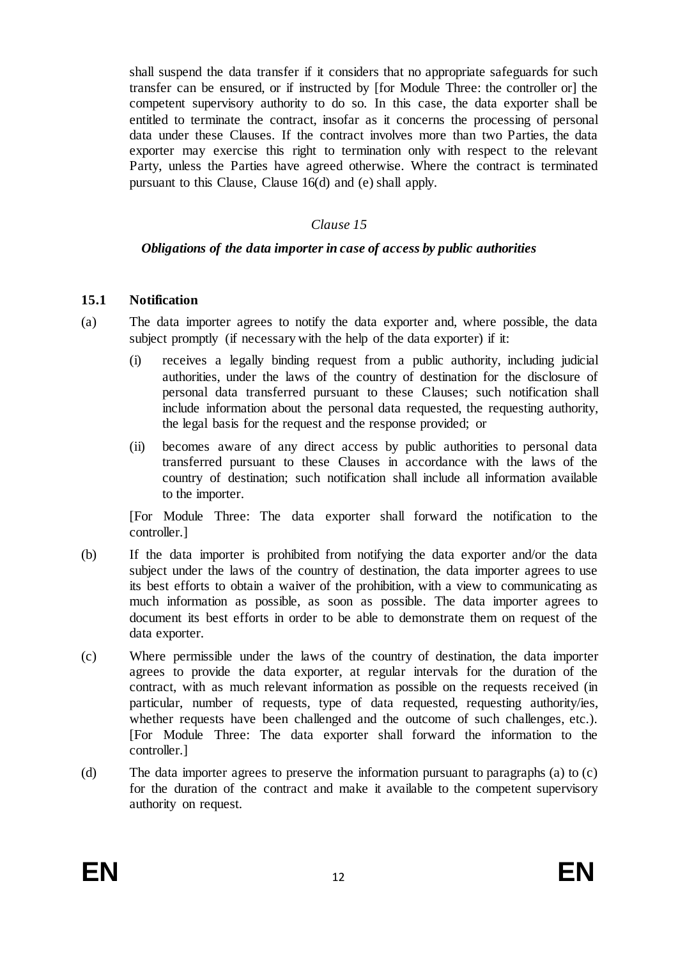shall suspend the data transfer if it considers that no appropriate safeguards for such transfer can be ensured, or if instructed by [for Module Three: the controller or] the competent supervisory authority to do so. In this case, the data exporter shall be entitled to terminate the contract, insofar as it concerns the processing of personal data under these Clauses. If the contract involves more than two Parties, the data exporter may exercise this right to termination only with respect to the relevant Party, unless the Parties have agreed otherwise. Where the contract is terminated pursuant to this Clause, Clause 16(d) and (e) shall apply.

### *Clause 15*

#### *Obligations of the data importer in case of access by public authorities*

#### **15.1 Notification**

- (a) The data importer agrees to notify the data exporter and, where possible, the data subject promptly (if necessary with the help of the data exporter) if it:
	- (i) receives a legally binding request from a public authority, including judicial authorities, under the laws of the country of destination for the disclosure of personal data transferred pursuant to these Clauses; such notification shall include information about the personal data requested, the requesting authority, the legal basis for the request and the response provided; or
	- (ii) becomes aware of any direct access by public authorities to personal data transferred pursuant to these Clauses in accordance with the laws of the country of destination; such notification shall include all information available to the importer.

[For Module Three: The data exporter shall forward the notification to the controller.]

- (b) If the data importer is prohibited from notifying the data exporter and/or the data subject under the laws of the country of destination, the data importer agrees to use its best efforts to obtain a waiver of the prohibition, with a view to communicating as much information as possible, as soon as possible. The data importer agrees to document its best efforts in order to be able to demonstrate them on request of the data exporter.
- (c) Where permissible under the laws of the country of destination, the data importer agrees to provide the data exporter, at regular intervals for the duration of the contract, with as much relevant information as possible on the requests received (in particular, number of requests, type of data requested, requesting authority/ies, whether requests have been challenged and the outcome of such challenges, etc.). [For Module Three: The data exporter shall forward the information to the controller.]
- (d) The data importer agrees to preserve the information pursuant to paragraphs (a) to (c) for the duration of the contract and make it available to the competent supervisory authority on request.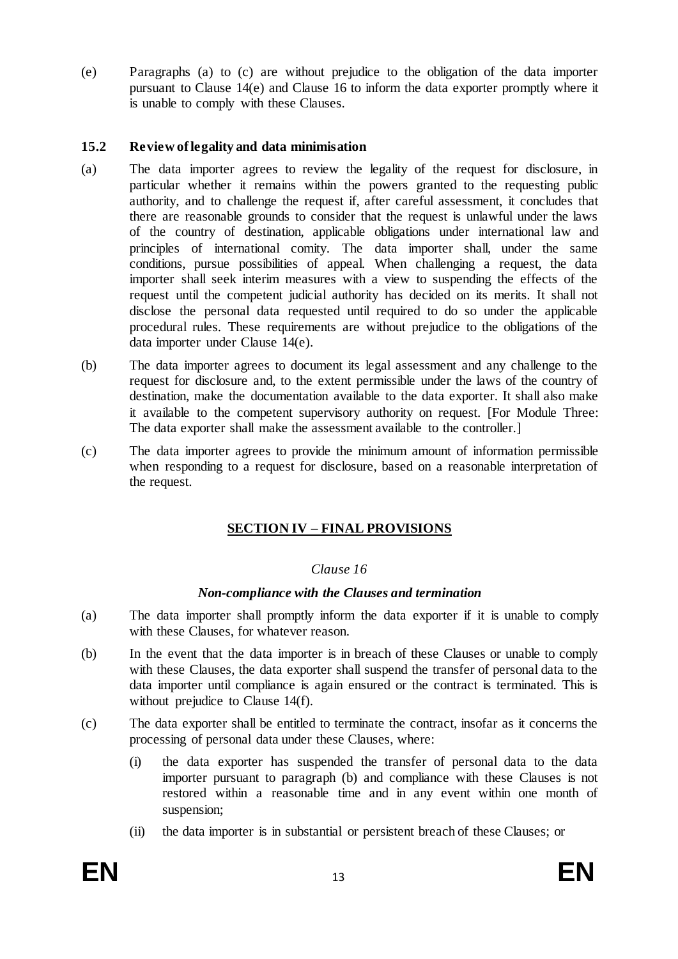(e) Paragraphs (a) to (c) are without prejudice to the obligation of the data importer pursuant to Clause 14(e) and Clause 16 to inform the data exporter promptly where it is unable to comply with these Clauses.

### **15.2 Review of legality and data minimisation**

- (a) The data importer agrees to review the legality of the request for disclosure, in particular whether it remains within the powers granted to the requesting public authority, and to challenge the request if, after careful assessment, it concludes that there are reasonable grounds to consider that the request is unlawful under the laws of the country of destination, applicable obligations under international law and principles of international comity. The data importer shall, under the same conditions, pursue possibilities of appeal. When challenging a request, the data importer shall seek interim measures with a view to suspending the effects of the request until the competent judicial authority has decided on its merits. It shall not disclose the personal data requested until required to do so under the applicable procedural rules. These requirements are without prejudice to the obligations of the data importer under Clause 14(e).
- (b) The data importer agrees to document its legal assessment and any challenge to the request for disclosure and, to the extent permissible under the laws of the country of destination, make the documentation available to the data exporter. It shall also make it available to the competent supervisory authority on request. [For Module Three: The data exporter shall make the assessment available to the controller.]
- (c) The data importer agrees to provide the minimum amount of information permissible when responding to a request for disclosure, based on a reasonable interpretation of the request.

# **SECTION IV – FINAL PROVISIONS**

### *Clause 16*

### *Non-compliance with the Clauses and termination*

- (a) The data importer shall promptly inform the data exporter if it is unable to comply with these Clauses, for whatever reason.
- (b) In the event that the data importer is in breach of these Clauses or unable to comply with these Clauses, the data exporter shall suspend the transfer of personal data to the data importer until compliance is again ensured or the contract is terminated. This is without prejudice to Clause 14(f).
- (c) The data exporter shall be entitled to terminate the contract, insofar as it concerns the processing of personal data under these Clauses, where:
	- (i) the data exporter has suspended the transfer of personal data to the data importer pursuant to paragraph (b) and compliance with these Clauses is not restored within a reasonable time and in any event within one month of suspension;
	- (ii) the data importer is in substantial or persistent breach of these Clauses; or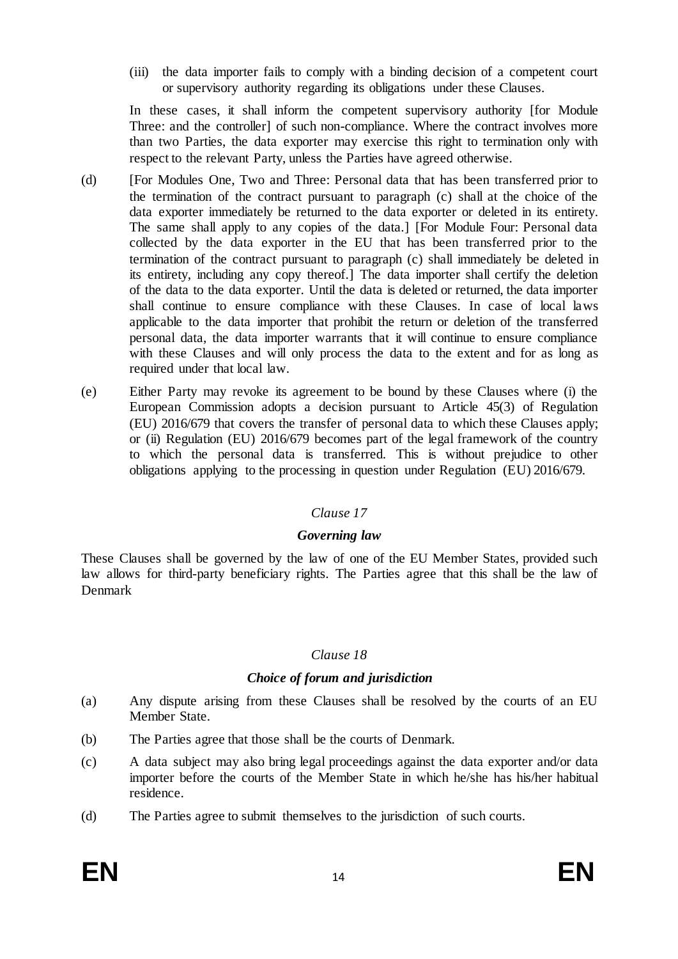(iii) the data importer fails to comply with a binding decision of a competent court or supervisory authority regarding its obligations under these Clauses.

In these cases, it shall inform the competent supervisory authority [for Module Three: and the controller] of such non-compliance. Where the contract involves more than two Parties, the data exporter may exercise this right to termination only with respect to the relevant Party, unless the Parties have agreed otherwise.

- (d) [For Modules One, Two and Three: Personal data that has been transferred prior to the termination of the contract pursuant to paragraph (c) shall at the choice of the data exporter immediately be returned to the data exporter or deleted in its entirety. The same shall apply to any copies of the data.] [For Module Four: Personal data collected by the data exporter in the EU that has been transferred prior to the termination of the contract pursuant to paragraph (c) shall immediately be deleted in its entirety, including any copy thereof.] The data importer shall certify the deletion of the data to the data exporter. Until the data is deleted or returned, the data importer shall continue to ensure compliance with these Clauses. In case of local laws applicable to the data importer that prohibit the return or deletion of the transferred personal data, the data importer warrants that it will continue to ensure compliance with these Clauses and will only process the data to the extent and for as long as required under that local law.
- (e) Either Party may revoke its agreement to be bound by these Clauses where (i) the European Commission adopts a decision pursuant to Article 45(3) of Regulation (EU) 2016/679 that covers the transfer of personal data to which these Clauses apply; or (ii) Regulation (EU) 2016/679 becomes part of the legal framework of the country to which the personal data is transferred. This is without prejudice to other obligations applying to the processing in question under Regulation (EU) 2016/679.

### *Clause 17*

### *Governing law*

These Clauses shall be governed by the law of one of the EU Member States, provided such law allows for third-party beneficiary rights. The Parties agree that this shall be the law of Denmark

### *Clause 18*

### *Choice of forum and jurisdiction*

- (a) Any dispute arising from these Clauses shall be resolved by the courts of an EU Member State.
- (b) The Parties agree that those shall be the courts of Denmark.
- (c) A data subject may also bring legal proceedings against the data exporter and/or data importer before the courts of the Member State in which he/she has his/her habitual residence.
- (d) The Parties agree to submit themselves to the jurisdiction of such courts.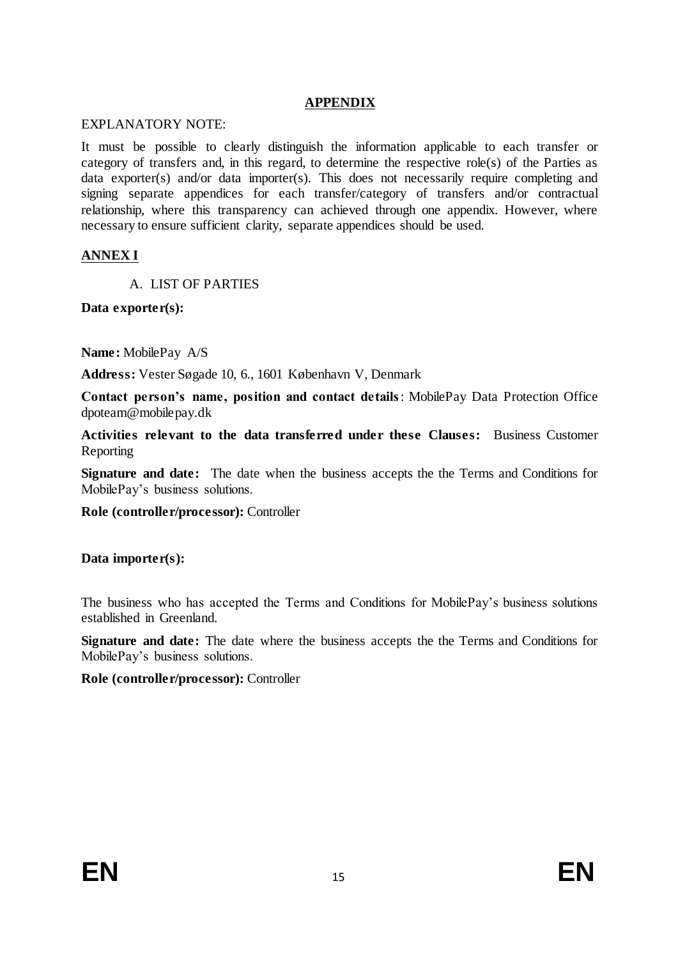#### **APPENDIX**

#### EXPLANATORY NOTE:

It must be possible to clearly distinguish the information applicable to each transfer or category of transfers and, in this regard, to determine the respective role(s) of the Parties as data exporter(s) and/or data importer(s). This does not necessarily require completing and signing separate appendices for each transfer/category of transfers and/or contractual relationship, where this transparency can achieved through one appendix. However, where necessary to ensure sufficient clarity, separate appendices should be used.

#### **ANNEX I**

A. LIST OF PARTIES

**Data exporter(s):** 

**Name:** MobilePay A/S

**Address:** Vester Søgade 10, 6., 1601 København V, Denmark

**Contact person's name, position and contact details**: MobilePay Data Protection Office dpoteam@mobilepay.dk

**Activities relevant to the data transferred under these Clauses:** Business Customer Reporting

**Signature and date:** The date when the business accepts the the Terms and Conditions for MobilePay's business solutions.

**Role (controller/processor):** Controller

#### **Data importer(s):**

The business who has accepted the Terms and Conditions for MobilePay's business solutions established in Greenland.

**Signature and date:** The date where the business accepts the the Terms and Conditions for MobilePay's business solutions.

**Role (controller/processor):** Controller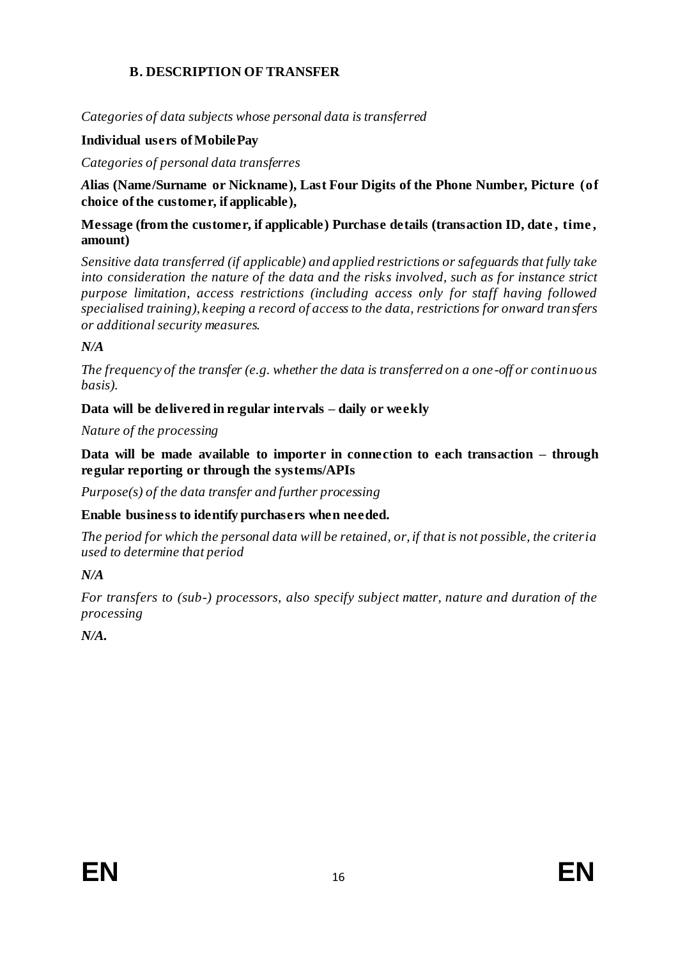# **B. DESCRIPTION OF TRANSFER**

*Categories of data subjects whose personal data is transferred*

### **Individual users of MobilePay**

*Categories of personal data transferres*

*A***lias (Name/Surname or Nickname), Last Four Digits of the Phone Number, Picture (of choice of the customer, if applicable),**

### **Message (from the customer, if applicable) Purchase details (transaction ID, date , time , amount)**

*Sensitive data transferred (if applicable) and applied restrictions or safeguards that fully take into consideration the nature of the data and the risks involved, such as for instance strict purpose limitation, access restrictions (including access only for staff having followed specialised training), keeping a record of access to the data, restrictions for onward tran sfers or additional security measures.*

# *N/A*

*The frequency of the transfer (e.g. whether the data is transferred on a one-off or continuous basis).*

# **Data will be delivered in regular intervals – daily or weekly**

*Nature of the processing*

**Data will be made available to importer in connection to each transaction – through regular reporting or through the systems/APIs**

*Purpose(s) of the data transfer and further processing*

# **Enable business to identify purchasers when needed.**

*The period for which the personal data will be retained, or, if that is not possible, the criteria used to determine that period* 

*N/A*

*For transfers to (sub-) processors, also specify subject matter, nature and duration of the processing*

*N/A.*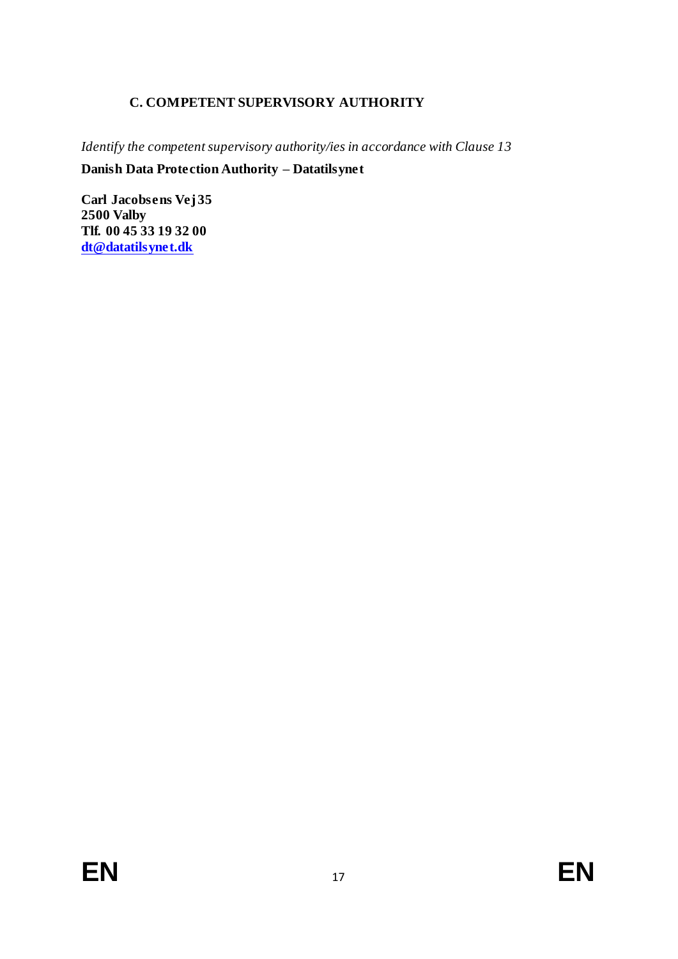### **C. COMPETENT SUPERVISORY AUTHORITY**

*Identify the competent supervisory authority/ies in accordance with Clause 13* **Danish Data Protection Authority – Datatilsynet**

**Carl Jacobsens Vej 35 2500 Valby Tlf. 00 45 33 19 32 00 [dt@datatilsynet.dk](mailto:dt@datatilsynet.dk?subject=)**